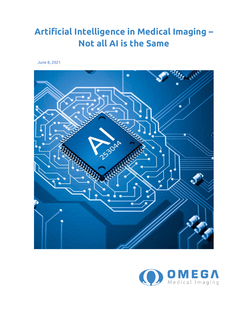## **Artificial Intelligence in Medical Imaging – Not all AI is the Same**

June 8, 2021



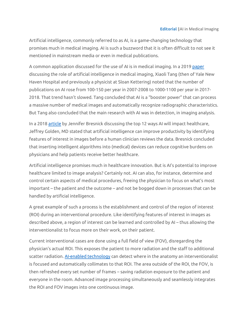Artificial intelligence, commonly referred to as AI, is a game-changing technology that promises much in medical imaging. AI is such a buzzword that it is often difficult to not see it mentioned in mainstream media or even in medical publications.

A common application discussed for the use of AI is in medical imaging. In a 201[9 paper](https://www.birpublications.org/doi/full/10.1259/bjro.20190031) discussing the role of artificial intelligence in medical imaging, Xiaoli Tang (then of Yale New Haven Hospital and previously a physicist at Sloan Kettering) noted that the number of publications on AI rose from 100-150 per year in 2007-2008 to 1000-1100 per year in 2017- 2018. That trend hasn't slowed. Tang concluded that AI is a "booster power" that can process a massive number of medical images and automatically recognize radiographic characteristics. But Tang also concluded that the main research with AI was in detection, in imaging analysis.

In a 201[8 article](https://healthitanalytics.com/news/top-12-ways-artificial-intelligence-will-impact-healthcare) by Jennifer Bresnick discussing the top 12 ways AI will impact healthcare, Jeffrey Golden, MD stated that artificial intelligence can improve productivity by identifying features of interest in images before a human clinician reviews the data. Bresnick concluded that inserting intelligent algorithms into (medical) devices can reduce cognitive burdens on physicians and help patients receive better healthcare.

Artificial intelligence promises much in healthcare innovation. But is AI's potential to improve healthcare limited to image analysis? Certainly not. AI can also, for instance, determine and control certain aspects of medical procedures, freeing the physician to focus on what's most important – the patient and the outcome – and not be bogged down in processes that can be handled by artificial intelligence.

A great example of such a process is the establishment and control of the region of interest (ROI) during an interventional procedure. Like identifying features of interest in images as described above, a region of interest can be learned and controlled by AI – thus allowing the interventionalist to focus more on their work, on their patient.

Current interventional cases are done using a full field of view (FOV), disregarding the physician's actual ROI. This exposes the patient to more radiation and the staff to additional scatter radiation. [AI-enabled technology](https://www.omegamedicalimaging.com/fluoroshield/) can detect where in the anatomy an interventionalist is focused and automatically collimates to that ROI. The area outside of the ROI, the FOV, is then refreshed every set number of frames – saving radiation exposure to the patient and everyone in the room. Advanced image processing simultaneously and seamlessly integrates the ROI and FOV images into one continuous image.